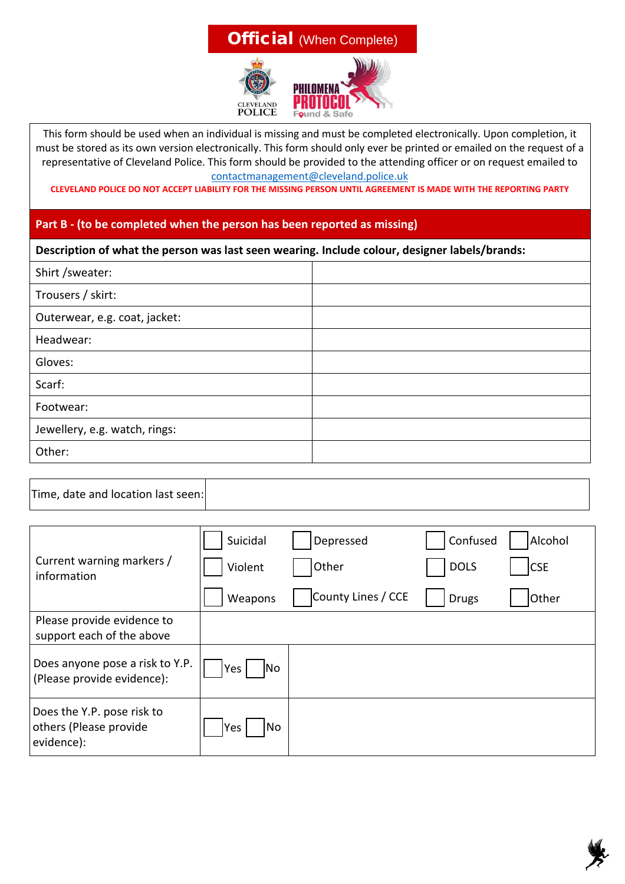## **Official** (When Complete)



This form should be used when an individual is missing and must be completed electronically. Upon completion, it must be stored as its own version electronically. This form should only ever be printed or emailed on the request of a representative of Cleveland Police. This form should be provided to the attending officer or on request emailed to contactmanagement@cleveland.police.uk

**CLEVELAND POLICE DO NOT ACCEPT LIABILITY FOR THE MISSING PERSON UNTIL AGREEMENT IS MADE WITH THE REPORTING PARTY**

## **Part B - (to be completed when the person has been reported as missing)**

## **Description of what the person was last seen wearing. Include colour, designer labels/brands:**

| Shirt / sweater:              |  |
|-------------------------------|--|
| Trousers / skirt:             |  |
| Outerwear, e.g. coat, jacket: |  |
| Headwear:                     |  |
| Gloves:                       |  |
| Scarf:                        |  |
| Footwear:                     |  |
| Jewellery, e.g. watch, rings: |  |
| Other:                        |  |

|--|--|

|                                                                    | Suicidal    | Depressed          | Confused     | Alcohol    |
|--------------------------------------------------------------------|-------------|--------------------|--------------|------------|
| Current warning markers /<br>information                           | Violent     | Other              | <b>DOLS</b>  | <b>CSE</b> |
|                                                                    | Weapons     | County Lines / CCE | <b>Drugs</b> | Other      |
| Please provide evidence to<br>support each of the above            |             |                    |              |            |
| Does anyone pose a risk to Y.P.<br>(Please provide evidence):      | Yes <br> No |                    |              |            |
| Does the Y.P. pose risk to<br>others (Please provide<br>evidence): | Yes<br>No   |                    |              |            |

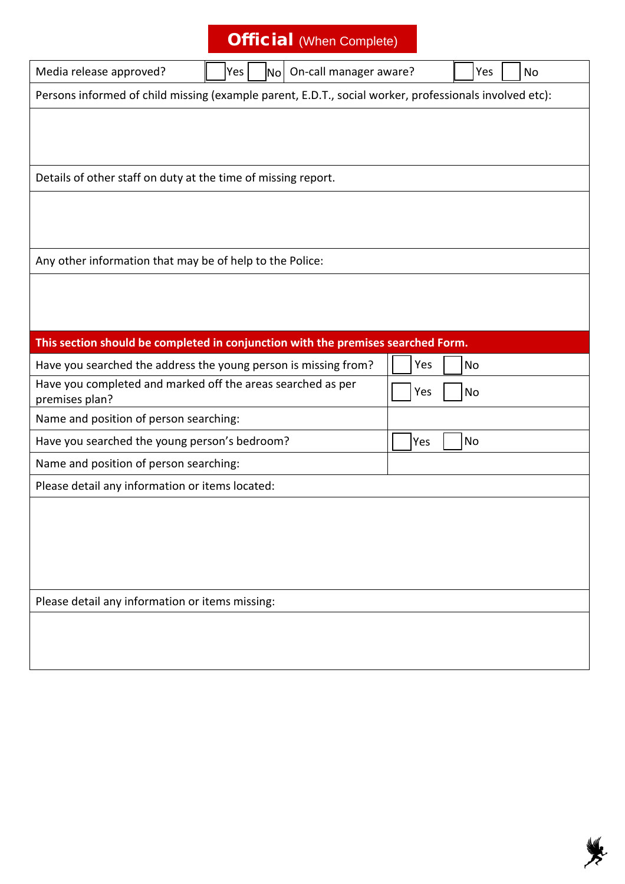|                                                                               | <b>Official</b> (When Complete)                                                                        |     |     |           |
|-------------------------------------------------------------------------------|--------------------------------------------------------------------------------------------------------|-----|-----|-----------|
| Media release approved?                                                       | No On-call manager aware?<br>Yes                                                                       |     | Yes | <b>No</b> |
|                                                                               | Persons informed of child missing (example parent, E.D.T., social worker, professionals involved etc): |     |     |           |
|                                                                               |                                                                                                        |     |     |           |
| Details of other staff on duty at the time of missing report.                 |                                                                                                        |     |     |           |
|                                                                               |                                                                                                        |     |     |           |
| Any other information that may be of help to the Police:                      |                                                                                                        |     |     |           |
|                                                                               |                                                                                                        |     |     |           |
|                                                                               |                                                                                                        |     |     |           |
|                                                                               | This section should be completed in conjunction with the premises searched Form.                       |     |     |           |
|                                                                               | Have you searched the address the young person is missing from?                                        | Yes | No  |           |
| Have you completed and marked off the areas searched as per<br>premises plan? |                                                                                                        | Yes | No  |           |
| Name and position of person searching:                                        |                                                                                                        |     |     |           |
| Have you searched the young person's bedroom?                                 |                                                                                                        | Yes | No  |           |
| Name and position of person searching:                                        |                                                                                                        |     |     |           |
| Please detail any information or items located:                               |                                                                                                        |     |     |           |
|                                                                               |                                                                                                        |     |     |           |
|                                                                               |                                                                                                        |     |     |           |
|                                                                               |                                                                                                        |     |     |           |
|                                                                               |                                                                                                        |     |     |           |
| Please detail any information or items missing:                               |                                                                                                        |     |     |           |
|                                                                               |                                                                                                        |     |     |           |
|                                                                               |                                                                                                        |     |     |           |
|                                                                               |                                                                                                        |     |     |           |